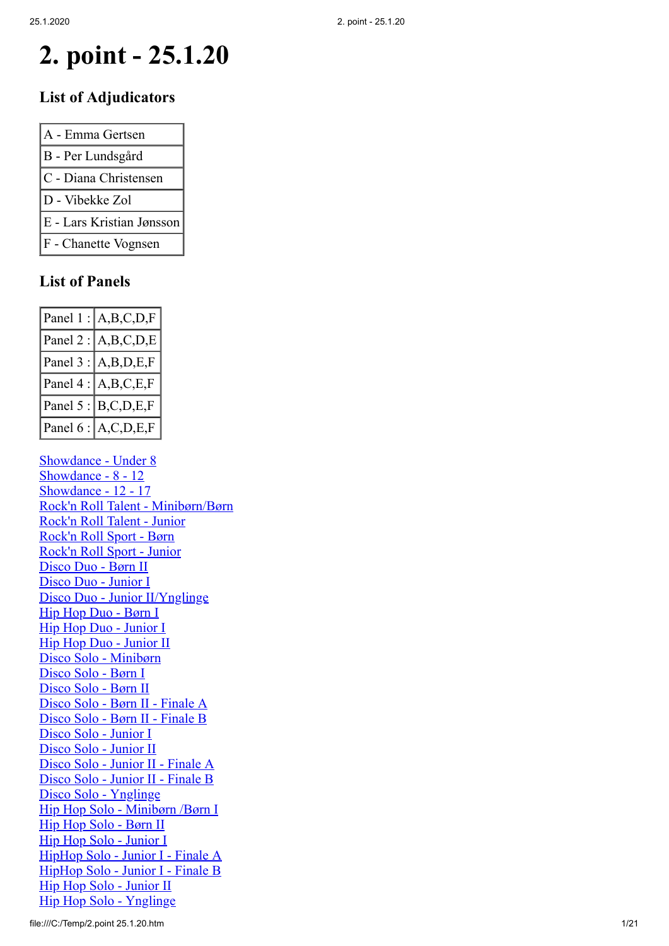# **2. point - 25.1.20**

#### **List of Adjudicators**

| A - Emma Gertsen          |
|---------------------------|
| B - Per Lundsgård         |
| C - Diana Christensen     |
| D - Vibekke Zol           |
| E - Lars Kristian Jønsson |
| F - Chanette Vognsen      |

### **List of Panels**

|                   | Panel $1: A,B,C,D,F$ |
|-------------------|----------------------|
| Panel $2:$        | A,B,C,D,E            |
| Panel $3:$        | A,B,D,E,F            |
| $ $ Panel 4 : $ $ | A,B,C,E,F            |
| Panel 5 :         | B, C, D, E, F        |
| Panel 6 :         | A, C, D, E, F        |

Showdance - Under 8 Showdance - 8 - 12 Showdance - 12 - 17 Rock'n Roll Talent - Minibørn/Børn Rock'n Roll Talent - Junior Rock'n Roll Sport - Børn Rock'n Roll Sport - Junior Disco Duo - Børn II Disco Duo - Junior I Disco Duo - Junior II/Ynglinge Hip Hop Duo - Børn I Hip Hop Duo - Junior I Hip Hop Duo - Junior II Disco Solo - Minibørn Disco Solo - Børn I Disco Solo - Børn II Disco Solo - Børn II - Finale A Disco Solo - Børn II - Finale B Disco Solo - Junior I Disco Solo - Junior II Disco Solo - Junior II - Finale A Disco Solo - Junior II - Finale B Disco Solo - Ynglinge Hip Hop Solo - Minibørn /Børn I Hip Hop Solo - Børn II Hip Hop Solo - Junior I HipHop Solo - Junior I - Finale A HipHop Solo - Junior I - Finale B Hip Hop Solo - Junior II Hip Hop Solo - Ynglinge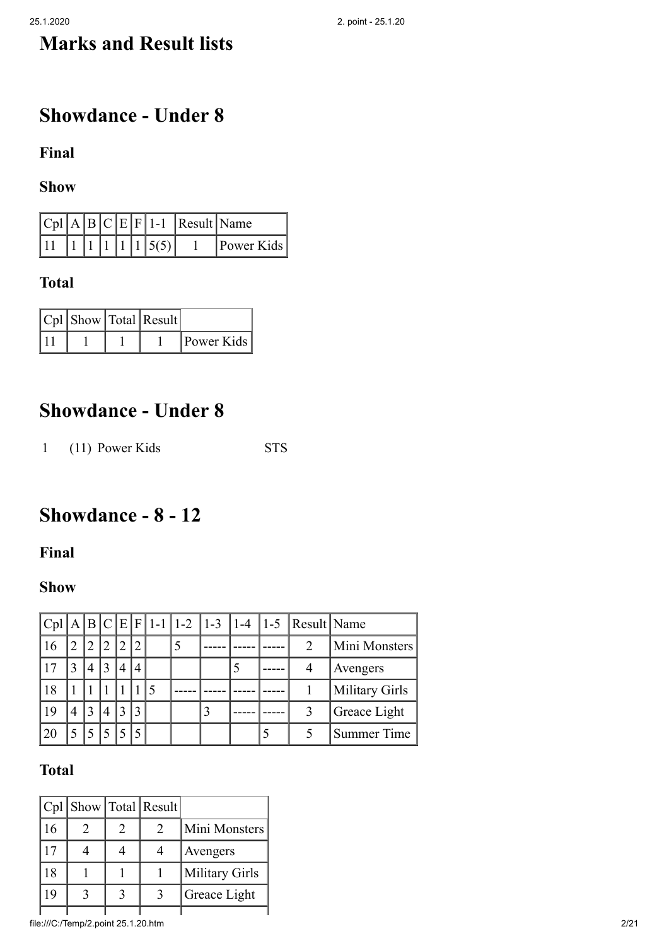# **Marks and Result lists**

# **Showdance - Under 8**

**Final**

**Show**

|  |  |  |                                                               | $ Cpl A B C E F 1-1 $ Result Name |                   |
|--|--|--|---------------------------------------------------------------|-----------------------------------|-------------------|
|  |  |  | $\begin{bmatrix} 1 & 1 & 1 & 1 & 1 & 1 & 5 & 5 \end{bmatrix}$ |                                   | <b>Power Kids</b> |

### **Total**

|  | $ Cpl $ Show $ Total $ Result |            |
|--|-------------------------------|------------|
|  |                               | Power Kids |

## **Showdance - Under 8**

1 (11) Power Kids STS

# **Showdance - 8 - 12**

**Final**

### **Show**

|    |   |                |   |              |                             |  |  | $ Cpl A B C E F 1-1 1-2 1-3 1-4 1-5 Result Name$ |                    |
|----|---|----------------|---|--------------|-----------------------------|--|--|--------------------------------------------------|--------------------|
|    |   | $\overline{2}$ |   | $^{\prime}2$ | $\mathcal{D}$               |  |  | $\mathcal{P}$                                    | Mini Monsters      |
|    | 3 | $\overline{4}$ | 3 | 4            | $\boldsymbol{\vartriangle}$ |  |  |                                                  | Avengers           |
| 18 |   |                |   |              |                             |  |  |                                                  | Military Girls     |
| 19 | 4 | 3              | 4 | 3            | 3                           |  |  |                                                  | Greace Light       |
| 20 |   | 5              |   |              |                             |  |  |                                                  | <b>Summer Time</b> |

|    |  | Cpl   Show   Total   Result |                |
|----|--|-----------------------------|----------------|
| 16 |  | $\mathcal{D}_{\mathcal{L}}$ | Mini Monsters  |
| 17 |  |                             | Avengers       |
| 18 |  |                             | Military Girls |
| 19 |  | 3                           | Greace Light   |
|    |  |                             |                |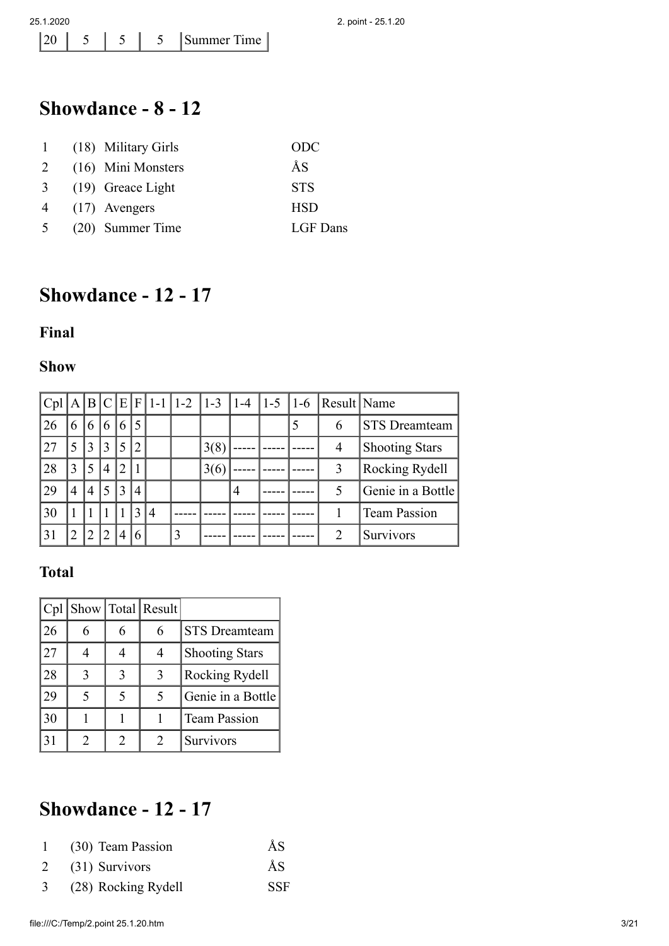## **Showdance - 8 - 12**

| $\mathbf{1}$   | (18) Military Girls | ODC        |
|----------------|---------------------|------------|
| 2              | (16) Mini Monsters  | ÅS         |
| 3 <sup>1</sup> | $(19)$ Greace Light | <b>STS</b> |
| $\overline{4}$ | $(17)$ Avengers     | <b>HSD</b> |
| 5 <sup>5</sup> | (20) Summer Time    | LGF Dans   |

# **Showdance - 12 - 17**

#### **Final**

#### **Show**

| Cpl | A              |                          |                |                |              |                | $B C E F 1-1 1-2 1-3$ |      | $ 1-4 $        | $ 1-5 1-6$ | Result   Name               |                       |
|-----|----------------|--------------------------|----------------|----------------|--------------|----------------|-----------------------|------|----------------|------------|-----------------------------|-----------------------|
| 26  | 6              | 6                        | 6              | 6              |              |                |                       |      |                |            | 6                           | <b>STS</b> Dreamteam  |
| 27  | 5              | 3                        | 3              | 5              | 2            |                |                       | 3(8) |                |            | 4                           | <b>Shooting Stars</b> |
| 28  | 3              | $\overline{\mathcal{L}}$ | 4              | 2              |              |                |                       | 3(6) |                |            | 3                           | <b>Rocking Rydell</b> |
| 29  | $\overline{4}$ | 4                        | 5              | 3              | 4            |                |                       |      | $\overline{4}$ |            | 5                           | Genie in a Bottle     |
| 30  |                |                          |                |                | $\mathbf{3}$ | $\overline{4}$ |                       |      |                |            |                             | <b>Team Passion</b>   |
| 31  |                |                          | $\overline{2}$ | $\overline{4}$ | 6            |                | 3                     |      |                |            | $\mathcal{D}_{\mathcal{L}}$ | Survivors             |

### **Total**

| Cpl |   |   | Show Total Result |                       |
|-----|---|---|-------------------|-----------------------|
| 26  | 6 | 6 | 6                 | <b>STS</b> Dreamteam  |
| 27  |   |   |                   | <b>Shooting Stars</b> |
| 28  | 3 | 3 | 3                 | Rocking Rydell        |
| 29  | 5 |   |                   | Genie in a Bottle     |
| 130 |   |   |                   | <b>Team Passion</b>   |
| 31  | 2 | 2 | 2                 | Survivors             |

# **Showdance - 12 - 17**

|   | (30) Team Passion   | ĂS         |
|---|---------------------|------------|
|   | $2$ (31) Survivors  | ĂS         |
| 3 | (28) Rocking Rydell | <b>SSF</b> |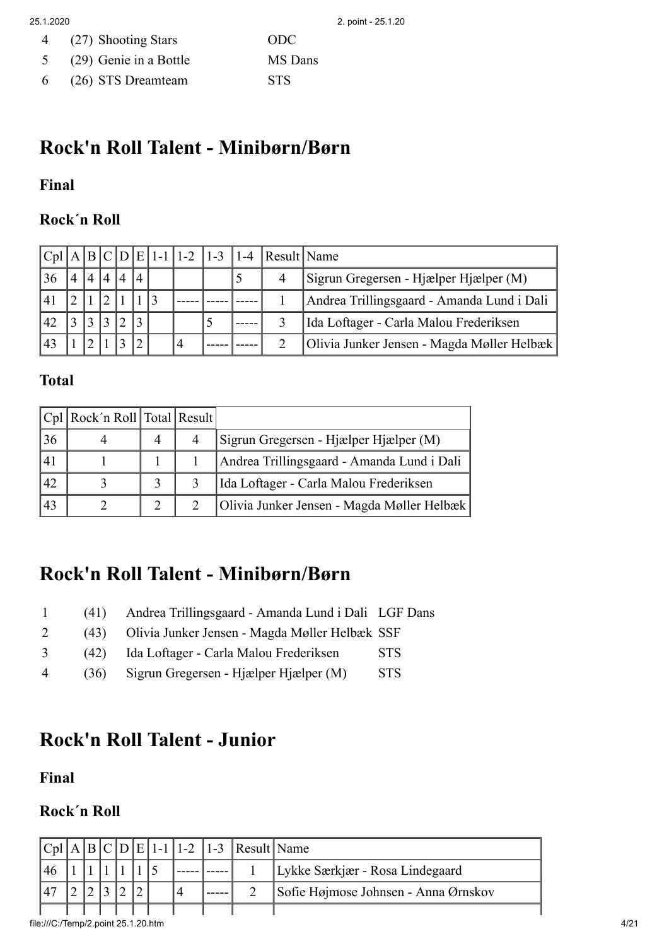| $\overline{4}$ | (27) Shooting Stars      | ODC.           |
|----------------|--------------------------|----------------|
|                | 5 (29) Genie in a Bottle | <b>MS</b> Dans |
| 6              | (26) STS Dreamteam       | <b>STS</b>     |

## **Rock'n Roll Talent - Minibørn/Børn**

#### **Final**

#### **Rock´n Roll**

|    |                             |                |   |                |  |   |  | $ Cpl A B C D E 1-1 1-2 1-3 1-4 Result Name$ |                                            |
|----|-----------------------------|----------------|---|----------------|--|---|--|----------------------------------------------|--------------------------------------------|
| 36 | $\boldsymbol{\vartriangle}$ | $\overline{4}$ | 4 | $\overline{A}$ |  |   |  |                                              | Sigrun Gregersen - Hjælper Hjælper (M)     |
|    |                             |                |   |                |  |   |  |                                              | Andrea Trillingsgaard - Amanda Lund i Dali |
| 42 |                             |                |   |                |  |   |  |                                              | Ida Loftager - Carla Malou Frederiksen     |
|    |                             |                |   |                |  | 4 |  |                                              | Olivia Junker Jensen - Magda Møller Helbæk |

#### **Total**

|    | Cpl   Rock'n Roll   Total   Result |  |                                            |
|----|------------------------------------|--|--------------------------------------------|
| 36 |                                    |  | Sigrun Gregersen - Hjælper Hjælper (M)     |
| 41 |                                    |  | Andrea Trillingsgaard - Amanda Lund i Dali |
| 42 |                                    |  | Ida Loftager - Carla Malou Frederiksen     |
| 43 |                                    |  | Olivia Junker Jensen - Magda Møller Helbæk |

## **Rock'n Roll Talent - Minibørn/Børn**

- 1 (41) Andrea Trillingsgaard Amanda Lund i Dali LGF Dans
- 2 (43) Olivia Junker Jensen Magda Møller Helbæk SSF
- 3 (42) Ida Loftager Carla Malou Frederiksen STS
- 4 (36) Sigrun Gregersen Hjælper Hjælper (M) STS

# **Rock'n Roll Talent - Junior**

**Final**

#### **Rock´n Roll**

|  |  |  |  | $ Cpl A B C D E 1-1 1-2 1-3 Result Name$ |                                      |
|--|--|--|--|------------------------------------------|--------------------------------------|
|  |  |  |  |                                          | Lykke Særkjær - Rosa Lindegaard      |
|  |  |  |  |                                          | Sofie Højmose Johnsen - Anna Ørnskov |
|  |  |  |  |                                          |                                      |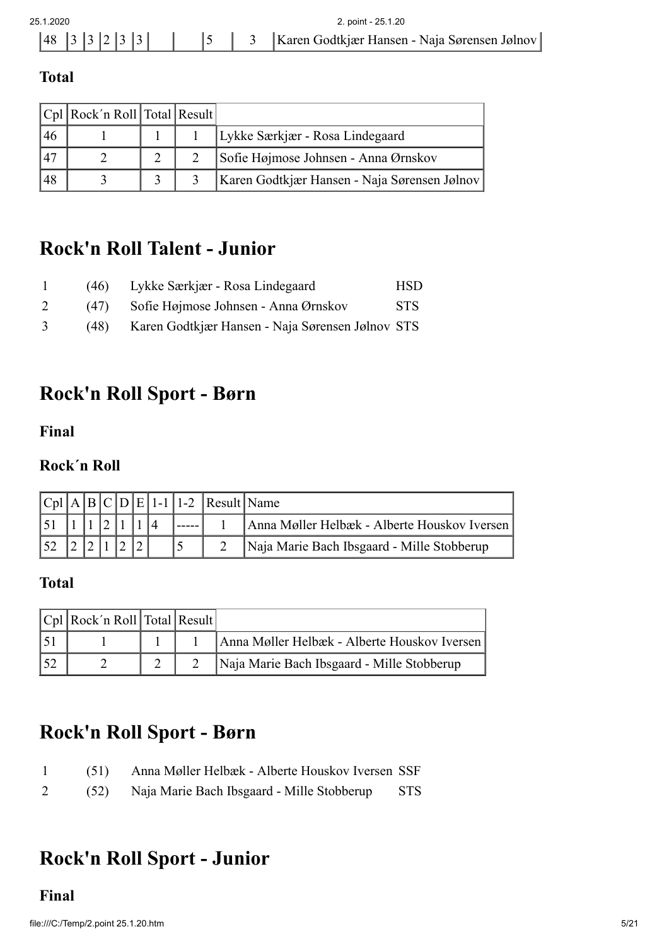| 25 1 2020                                              |  |  |  |  |  |  |  | 2. point - 25.1.20                                   |
|--------------------------------------------------------|--|--|--|--|--|--|--|------------------------------------------------------|
| $\begin{bmatrix} 48 & 3 & 3 & 2 & 3 & 3 \end{bmatrix}$ |  |  |  |  |  |  |  | 5   3   Karen Godtkjær Hansen - Naja Sørensen Jølnov |
|                                                        |  |  |  |  |  |  |  |                                                      |

#### **Total**

|    | $ Cpl $ Rock'n Roll Total Result |  |                                              |
|----|----------------------------------|--|----------------------------------------------|
| 46 |                                  |  | Lykke Særkjær - Rosa Lindegaard              |
| 47 |                                  |  | Sofie Højmose Johnsen - Anna Ørnskov         |
| 48 |                                  |  | Karen Godtkjær Hansen - Naja Sørensen Jølnov |

## **Rock'n Roll Talent - Junior**

|              | (46) | Lykke Særkjær - Rosa Lindegaard                  | HSD        |
|--------------|------|--------------------------------------------------|------------|
|              | (47) | Sofie Højmose Johnsen - Anna Ørnskov             | <b>STS</b> |
| $\mathbf{3}$ | (48) | Karen Godtkjær Hansen - Naja Sørensen Jølnov STS |            |

## **Rock'n Roll Sport - Børn**

**Final**

### **Rock´n Roll**

|  |  |  |  | $ Cpl A B C D E 1-1 1-2 Result Name$ |                                              |
|--|--|--|--|--------------------------------------|----------------------------------------------|
|  |  |  |  |                                      | Anna Møller Helbæk - Alberte Houskov Iversen |
|  |  |  |  |                                      | Naja Marie Bach Ibsgaard - Mille Stobberup   |

#### **Total**

|     | $ Cpl $ Rock'n Roll Total Result |  |                                              |
|-----|----------------------------------|--|----------------------------------------------|
|     |                                  |  | Anna Møller Helbæk - Alberte Houskov Iversen |
| 152 |                                  |  | Naja Marie Bach Ibsgaard - Mille Stobberup   |

## **Rock'n Roll Sport - Børn**

| $\mathbf{1}$ | (51) Anna Møller Helbæk - Alberte Houskov Iversen SSF |            |
|--------------|-------------------------------------------------------|------------|
| $2^{\circ}$  | (52) Naja Marie Bach Ibsgaard - Mille Stobberup       | <b>STS</b> |

# **Rock'n Roll Sport - Junior**

#### **Final**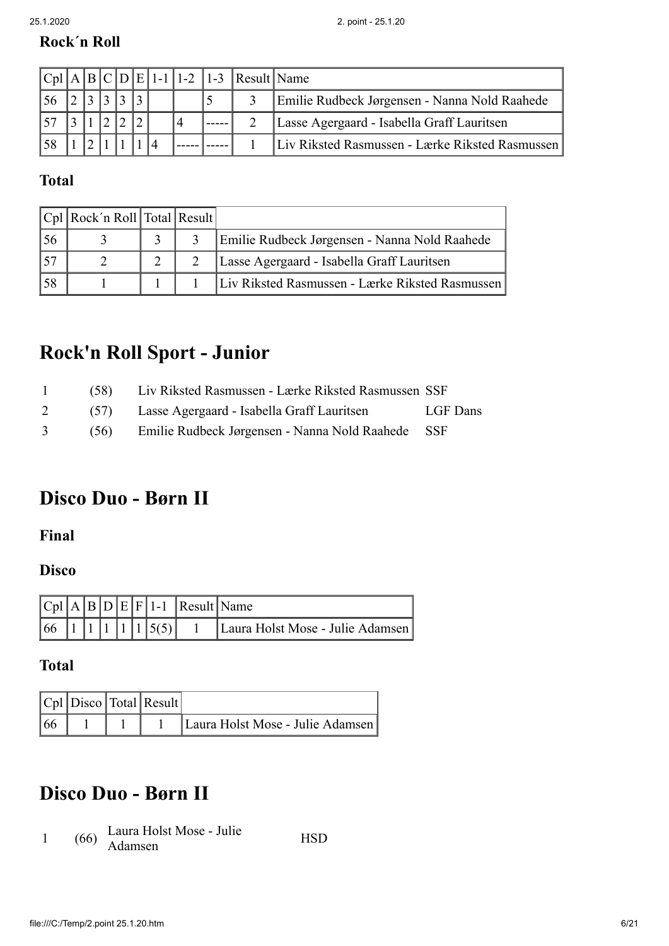### **Rock´n Roll**

|  |  |  |  | $ Cpl A B C D E 1-1 1-2 1-3 $ Result Name |                                                 |
|--|--|--|--|-------------------------------------------|-------------------------------------------------|
|  |  |  |  |                                           | Emilie Rudbeck Jørgensen - Nanna Nold Raahede   |
|  |  |  |  |                                           | Lasse Agergaard - Isabella Graff Lauritsen      |
|  |  |  |  |                                           | Liv Riksted Rasmussen - Lærke Riksted Rasmussen |

### **Total**

|                 | $ Cpl $ Rock'n Roll Total Result |  |                                                 |
|-----------------|----------------------------------|--|-------------------------------------------------|
| 56              |                                  |  | Emilie Rudbeck Jørgensen - Nanna Nold Raahede   |
| 15 <sup>7</sup> |                                  |  | Lasse Agergaard - Isabella Graff Lauritsen      |
| 58              |                                  |  | Liv Riksted Rasmussen - Lærke Riksted Rasmussen |

# **Rock'n Roll Sport - Junior**

| 1 | (58) Liv Riksted Rasmussen - Lærke Riksted Rasmussen SSF |          |
|---|----------------------------------------------------------|----------|
|   | 2 (57) Lasse Agergaard - Isabella Graff Lauritsen        | LGF Dans |
|   | 3 (56) Emilie Rudbeck Jørgensen - Nanna Nold Raahede SSF |          |

# **Disco Duo - Børn II**

**Final**

### **Disco**

|              |  |  |                                                                        | $ Cpl A B D E F 1-1 $ Result Name |                                  |
|--------------|--|--|------------------------------------------------------------------------|-----------------------------------|----------------------------------|
| $ 66\rangle$ |  |  | $\left[ \begin{array}{c c} 1 & 1 & 1 \\ 1 & 1 & 5 \end{array} \right]$ |                                   | Laura Holst Mose - Julie Adamsen |

**Total**

|    |  | $ Cpl $ Disco Total Result |                                  |
|----|--|----------------------------|----------------------------------|
| 66 |  |                            | Laura Holst Mose - Julie Adamsen |

# **Disco Duo - Børn II**

1  $(66)$  Laura Holst Mose - Julie Eatra Holst Mose - June HSD<br>Adamsen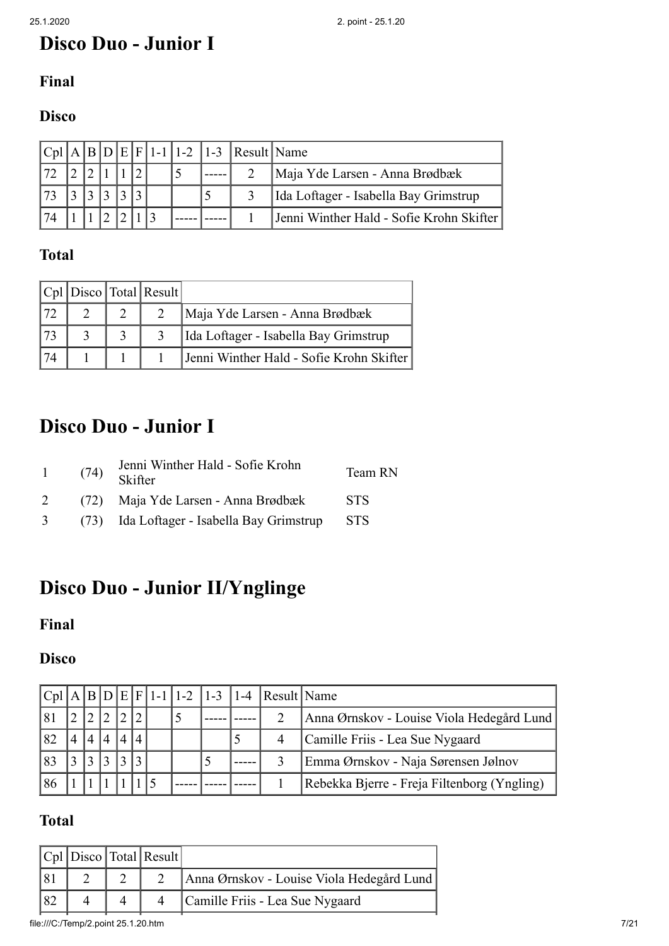# **Disco Duo - Junior I**

### **Final**

### **Disco**

|    |  |  |  |  | $ C_{p1} $ A   B   D   E   F   1-1   1-2   1-3   Result   Name |                                          |  |  |
|----|--|--|--|--|----------------------------------------------------------------|------------------------------------------|--|--|
|    |  |  |  |  | Maja Yde Larsen - Anna Brødbæk                                 |                                          |  |  |
| 73 |  |  |  |  | Ida Loftager - Isabella Bay Grimstrup                          |                                          |  |  |
| 74 |  |  |  |  |                                                                | Jenni Winther Hald - Sofie Krohn Skifter |  |  |

#### **Total**

|  | $ Cpl $ Disco Total Result |                                          |
|--|----------------------------|------------------------------------------|
|  |                            | Maja Yde Larsen - Anna Brødbæk           |
|  |                            | Ida Loftager - Isabella Bay Grimstrup    |
|  |                            | Jenni Winther Hald - Sofie Krohn Skifter |

## **Disco Duo - Junior I**

| $\mathbf{1}$  | Jenni Winther Hald - Sofie Krohn<br>$(74)$ Skifter | Team RN    |
|---------------|----------------------------------------------------|------------|
| 2             | (72) Maja Yde Larsen - Anna Brødbæk                | STS.       |
| $\mathcal{E}$ | (73) Ida Loftager - Isabella Bay Grimstrup         | <b>STS</b> |

# **Disco Duo - Junior II/Ynglinge**

### **Final**

### **Disco**

|    |               |           |          |  |  | $ Cpl A B D E F 1-1 1-2 1-3 1-4 Result Name$ |                                             |  |  |  |
|----|---------------|-----------|----------|--|--|----------------------------------------------|---------------------------------------------|--|--|--|
| 81 |               |           |          |  |  |                                              | Anna Ørnskov - Louise Viola Hedegård Lund   |  |  |  |
| 82 | 4             |           | $\Delta$ |  |  |                                              | Camille Friis - Lea Sue Nygaard             |  |  |  |
| 83 | $\rightarrow$ | $\bigcap$ | ∍        |  |  |                                              | Emma Ørnskov - Naja Sørensen Jølnov         |  |  |  |
| 86 |               |           |          |  |  |                                              | Rebekka Bjerre - Freja Filtenborg (Yngling) |  |  |  |

### **Total**

|  | $ Cpl $ Disco Total Result |                                           |
|--|----------------------------|-------------------------------------------|
|  |                            | Anna Ørnskov - Louise Viola Hedegård Lund |
|  |                            | Camille Friis - Lea Sue Nygaard           |

file:///C:/Temp/2.point 25.1.20.htm 7/21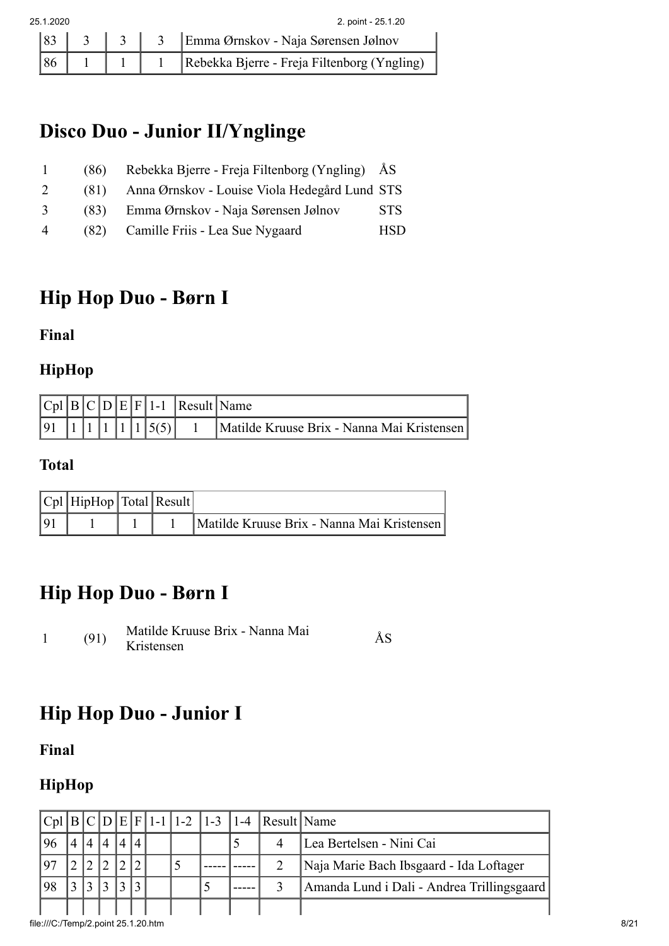# **Disco Duo - Junior II/Ynglinge**

| $\perp$            | (86) | Rebekka Bjerre - Freja Filtenborg (Yngling) ÅS |            |
|--------------------|------|------------------------------------------------|------------|
| $2^{\circ}$        | (81) | Anna Ørnskov - Louise Viola Hedegård Lund STS  |            |
| 3                  | (83) | Emma Ørnskov - Naja Sørensen Jølnov            | <b>STS</b> |
| $\mathbf{\Lambda}$ | (82) | Camille Friis - Lea Sue Nygaard                | HSD.       |

## **Hip Hop Duo - Børn I**

**Final**

#### **HipHop**

|  |  |  |                                                                | $ Cpl B C D E F 1-1 $ Result Name |                                            |
|--|--|--|----------------------------------------------------------------|-----------------------------------|--------------------------------------------|
|  |  |  | $\begin{bmatrix} 91 & 1 & 1 & 1 & 1 & 1 & 5 & 5 \end{bmatrix}$ |                                   | Matilde Kruuse Brix - Nanna Mai Kristensen |

### **Total**

|    | $ Cpl $ HipHop $ Total $ Result |  |                                            |
|----|---------------------------------|--|--------------------------------------------|
| 91 |                                 |  | Matilde Kruuse Brix - Nanna Mai Kristensen |

# **Hip Hop Duo - Børn I**

<sup>1</sup> (91) Matilde Kruuse Brix - Nanna Mai Kristensen ÅS

# **Hip Hop Duo - Junior I**

**Final**

## **HipHop**

|     |  |  |  |   |   | $ Cpl B C D E F 1-1 1-2 1-3 1-4 Result Name$ |                                            |  |  |
|-----|--|--|--|---|---|----------------------------------------------|--------------------------------------------|--|--|
| 96  |  |  |  |   |   |                                              | Lea Bertelsen - Nini Cai                   |  |  |
| 197 |  |  |  | J |   |                                              | Naja Marie Bach Ibsgaard - Ida Loftager    |  |  |
| 98  |  |  |  |   | J |                                              | Amanda Lund i Dali - Andrea Trillingsgaard |  |  |
|     |  |  |  |   |   |                                              |                                            |  |  |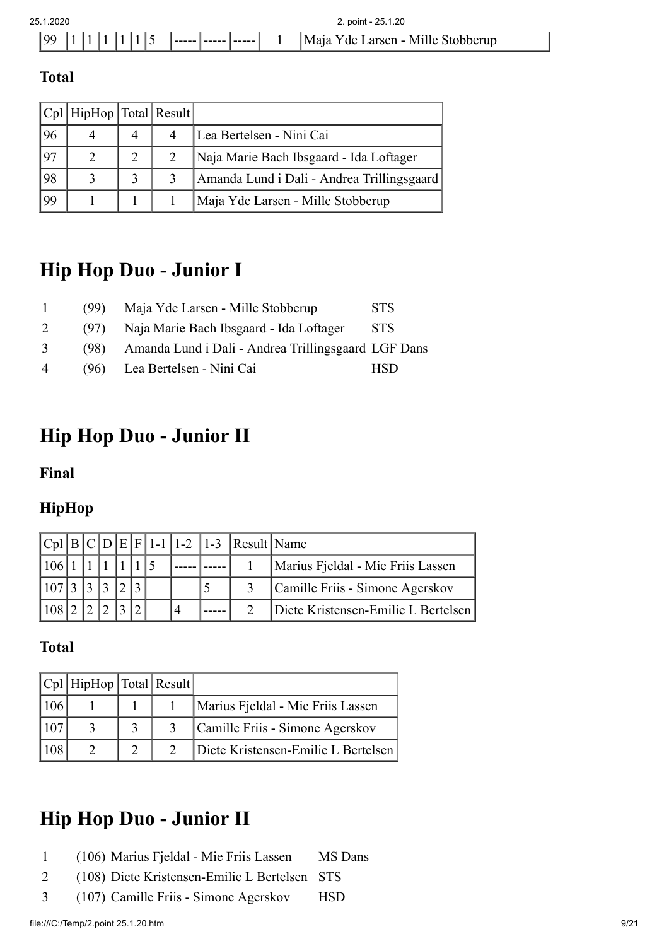#### **Total**

|    | Cpl   HipHop   Total   Result |                |                                            |
|----|-------------------------------|----------------|--------------------------------------------|
| 96 |                               | $\overline{A}$ | Lea Bertelsen - Nini Cai                   |
| 97 |                               |                | Naja Marie Bach Ibsgaard - Ida Loftager    |
| 98 |                               |                | Amanda Lund i Dali - Andrea Trillingsgaard |
| 99 |                               |                | Maja Yde Larsen - Mille Stobberup          |

## **Hip Hop Duo - Junior I**

| $\mathbf{1}$   | (99) | Maja Yde Larsen - Mille Stobberup                   | <b>STS</b> |
|----------------|------|-----------------------------------------------------|------------|
| 2              | (97) | Naja Marie Bach Ibsgaard - Ida Loftager             | <b>STS</b> |
| 3              | (98) | Amanda Lund i Dali - Andrea Trillingsgaard LGF Dans |            |
| $\overline{4}$ |      | (96) Lea Bertelsen - Nini Cai                       | <b>HSD</b> |

# **Hip Hop Duo - Junior II**

**Final**

### **HipHop**

|     |  |  |  |  | $ C_{p1} B C D E F 1-1 1-2 1-3 Result Name$ |                                     |
|-----|--|--|--|--|---------------------------------------------|-------------------------------------|
|     |  |  |  |  |                                             | Marius Fjeldal - Mie Friis Lassen   |
| 107 |  |  |  |  |                                             | Camille Friis - Simone Agerskov     |
|     |  |  |  |  |                                             | Dicte Kristensen-Emilie L Bertelsen |

#### **Total**

| Cpl   HipHop   Total   Result |  |                                     |
|-------------------------------|--|-------------------------------------|
|                               |  | Marius Fjeldal - Mie Friis Lassen   |
|                               |  | Camille Friis - Simone Agerskov     |
|                               |  | Dicte Kristensen-Emilie L Bertelsen |

# **Hip Hop Duo - Junior II**

- 1 (106) Marius Fjeldal Mie Friis Lassen MS Dans
- 2 (108) Dicte Kristensen-Emilie L Bertelsen STS
- 3 (107) Camille Friis Simone Agerskov HSD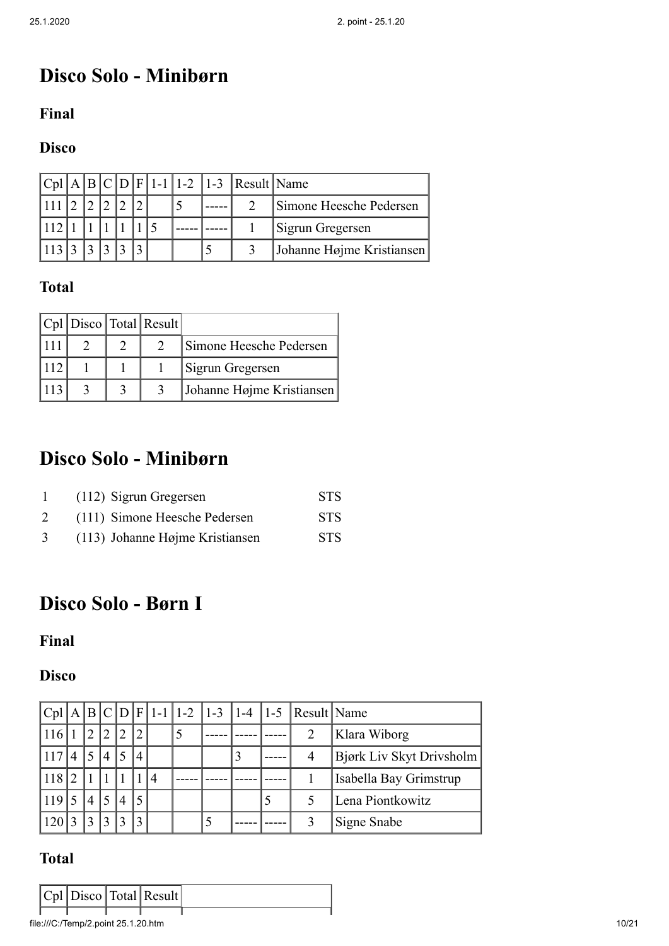# **Disco Solo - Minibørn**

#### **Final**

### **Disco**

|  |  |  |  | $ Cpl A B C D F 1-1 1-2 1-3 Result Name$ |                           |
|--|--|--|--|------------------------------------------|---------------------------|
|  |  |  |  |                                          | Simone Heesche Pedersen   |
|  |  |  |  |                                          | Sigrun Gregersen          |
|  |  |  |  |                                          | Johanne Højme Kristiansen |

### **Total**

|  | $ Cpl $ Disco Total Result |                           |
|--|----------------------------|---------------------------|
|  |                            | Simone Heesche Pedersen   |
|  |                            | Sigrun Gregersen          |
|  |                            | Johanne Højme Kristiansen |

## **Disco Solo - Minibørn**

|   | (112) Sigrun Gregersen          | STS.       |
|---|---------------------------------|------------|
|   | (111) Simone Heesche Pedersen   | <b>STS</b> |
| 3 | (113) Johanne Højme Kristiansen | STS.       |

## **Disco Solo - Børn I**

#### **Final**

#### **Disco**

|       |              |                |                |                |   |  |  | $ C_{p1} $ A $ B C D F 1-1 1-2 1-3 1-4 1-5 $ Result Name |                          |
|-------|--------------|----------------|----------------|----------------|---|--|--|----------------------------------------------------------|--------------------------|
|       | $^{\prime}2$ | $\mathcal{D}$  | $\mathcal{D}$  |                |   |  |  | 2                                                        | Klara Wiborg             |
| 117 4 | $\sqrt{5}$   | $\overline{4}$ |                | $\overline{4}$ |   |  |  | 4                                                        | Bjørk Liv Skyt Drivsholm |
| 118 2 |              |                |                |                | 4 |  |  |                                                          | Isabella Bay Grimstrup   |
| 119   |              |                | $\overline{4}$ |                |   |  |  |                                                          | Lena Piontkowitz         |
|       |              |                |                |                |   |  |  |                                                          | Signe Snabe              |

|  |  | $ Cpl $ Disco Total Result |  |
|--|--|----------------------------|--|
|  |  |                            |  |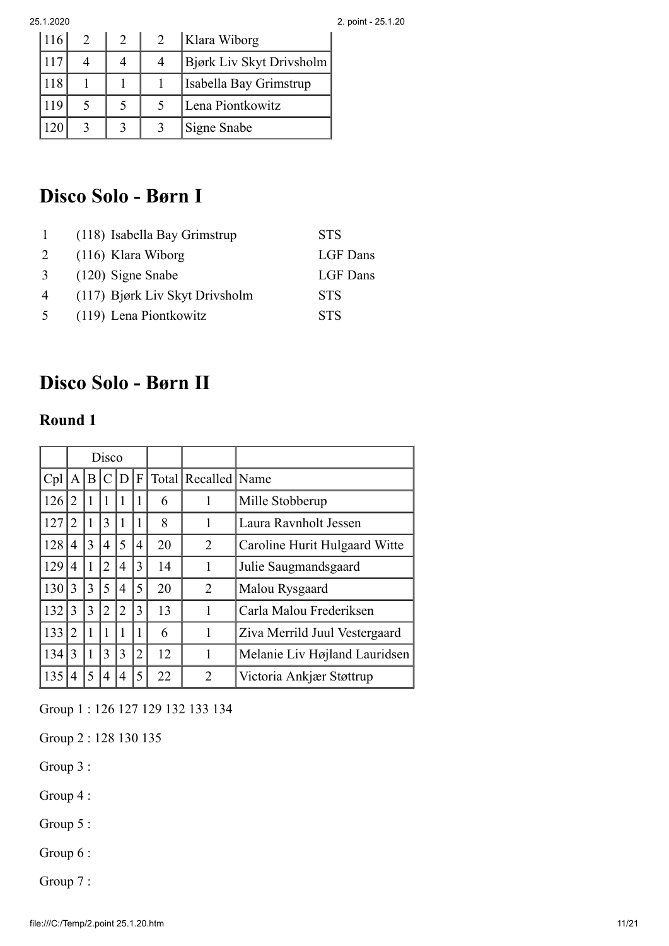| 116 |  | Klara Wiborg             |
|-----|--|--------------------------|
| 117 |  | Bjørk Liv Skyt Drivsholm |
| 118 |  | Isabella Bay Grimstrup   |
| 119 |  | Lena Piontkowitz         |
|     |  | Signe Snabe              |

# **Disco Solo - Børn I**

|                | (118) Isabella Bay Grimstrup   | <b>STS</b> |
|----------------|--------------------------------|------------|
| 2              | $(116)$ Klara Wiborg           | LGF Dans   |
| 3              | $(120)$ Signe Snabe            | LGF Dans   |
| $\overline{4}$ | (117) Bjørk Liv Skyt Drivsholm | <b>STS</b> |
| $\sim$         | (119) Lena Piontkowitz         | <b>STS</b> |

# **Disco Solo - Børn II**

#### **Round 1**

|     | Disco |   |   |   |                |    |                         |                               |
|-----|-------|---|---|---|----------------|----|-------------------------|-------------------------------|
| Cpl | A     | B |   | D | $\overline{F}$ |    | Total   Recalled   Name |                               |
| 126 | 2     | 1 |   | 1 |                | 6  | 1                       | Mille Stobberup               |
| 127 | 2     |   | 3 | 1 |                | 8  |                         | Laura Ravnholt Jessen         |
| 128 | 4     | 3 | 4 | 5 | 4              | 20 | 2                       | Caroline Hurit Hulgaard Witte |
| 129 | 4     | 1 | 2 | 4 | 3              | 14 | 1                       | Julie Saugmandsgaard          |
| 130 | 3     | 3 | 5 | 4 | 5              | 20 | $\overline{2}$          | Malou Rysgaard                |
| 132 | 3     | 3 | 2 | 2 | 3              | 13 |                         | Carla Malou Frederiksen       |
| 133 | 2     | 1 | 1 | 1 |                | 6  | 1                       | Ziva Merrild Juul Vestergaard |
| 134 | 3     | 1 | 3 | 3 | 2              | 12 |                         | Melanie Liv Højland Lauridsen |
| 135 |       | 5 | 4 | 4 | 5              | 22 | $\overline{2}$          | Victoria Ankjær Støttrup      |

Group 1 : 126 127 129 132 133 134

Group 2 : 128 130 135

Group 3 :

Group 4 :

Group 5 :

Group 6 :

Group 7 :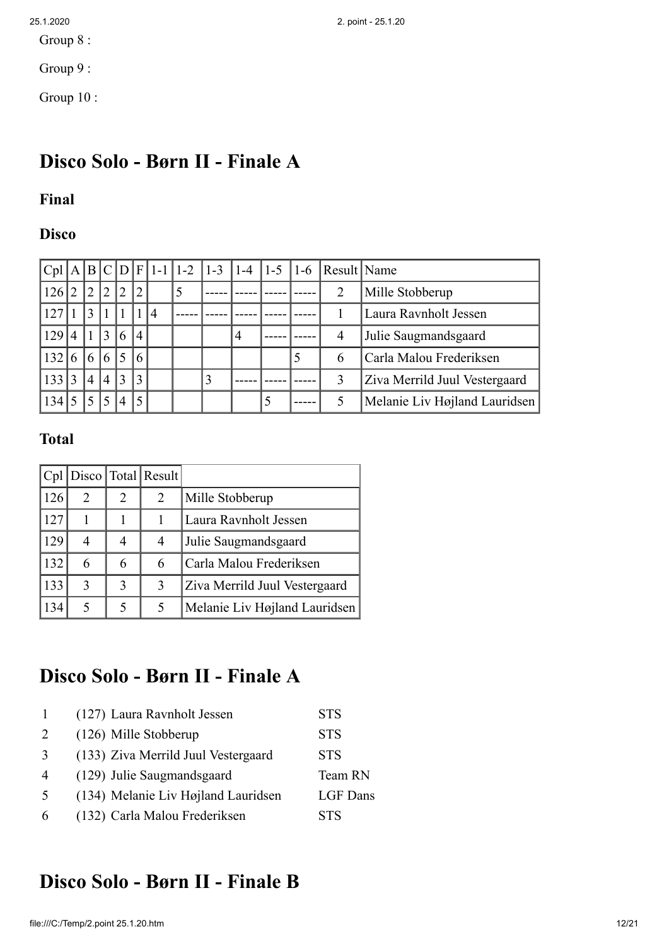Group 8 :

Group 9 :

Group 10 :

# **Disco Solo - Børn II - Finale A**

#### **Final**

### **Disco**

|     |                |                   |                 |                |                |                |   |                |   |   | $ Cpl A B C D F 1-1 1-2 1-3 1-4 1-5 1-6 Result Name$ |                               |
|-----|----------------|-------------------|-----------------|----------------|----------------|----------------|---|----------------|---|---|------------------------------------------------------|-------------------------------|
| 126 | $\overline{2}$ | $12^{-}$          | 2               | 12             | $ 2\rangle$    |                | 5 |                |   |   | 2                                                    | Mille Stobberup               |
| 127 |                | $\overline{3}$    |                 |                |                | $\overline{4}$ |   |                |   |   |                                                      | Laura Ravnholt Jessen         |
| 129 | $\overline{4}$ | l 1 l             | $\vert 3 \vert$ | 6              | $\overline{4}$ |                |   | $\overline{4}$ |   |   | $\overline{4}$                                       | Julie Saugmandsgaard          |
| 132 | 6              | $\left 6\right 6$ |                 |                | 6              |                |   |                |   | 5 | 6                                                    | Carla Malou Frederiksen       |
| 133 | 3              | $\overline{4}$    | $\overline{4}$  | 13             | 3              |                |   |                |   |   | 3                                                    | Ziva Merrild Juul Vestergaard |
| 134 | 5              | 5                 | 5               | $\overline{4}$ | 5              |                |   |                | 5 |   |                                                      | Melanie Liv Højland Lauridsen |

### **Total**

|      |   |   | $ Cpl $ Disco   Total   Result |                               |
|------|---|---|--------------------------------|-------------------------------|
| 126' | 2 | 2 | 2                              | Mille Stobberup               |
| 127  |   |   |                                | Laura Ravnholt Jessen         |
| 129  | 4 | 4 | 4                              | Julie Saugmandsgaard          |
| 132  | 6 | 6 | 6                              | Carla Malou Frederiksen       |
| 133  | 3 | 3 | 3                              | Ziva Merrild Juul Vestergaard |
| 134  | 5 | 5 | 5                              | Melanie Liv Højland Lauridsen |

# **Disco Solo - Børn II - Finale A**

|                             | (127) Laura Ravnholt Jessen         | <b>STS</b>      |
|-----------------------------|-------------------------------------|-----------------|
| $\mathcal{D}_{\mathcal{L}}$ | (126) Mille Stobberup               | <b>STS</b>      |
| 3                           | (133) Ziva Merrild Juul Vestergaard | <b>STS</b>      |
| $\overline{4}$              | (129) Julie Saugmandsgaard          | Team RN         |
| 5                           | (134) Melanie Liv Højland Lauridsen | <b>LGF</b> Dans |
| 6                           | (132) Carla Malou Frederiksen       | STS             |

## **Disco Solo - Børn II - Finale B**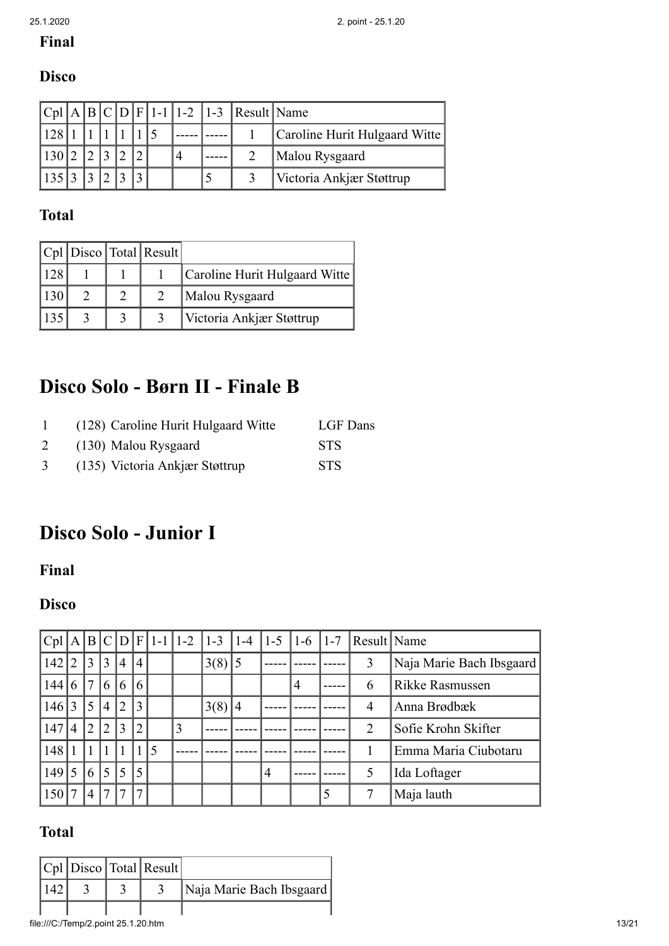### **Final**

### **Disco**

|             |  |  |  |  | $ Cpl A B C D F 1-1 1-2 1-3 Result Name$ |                               |
|-------------|--|--|--|--|------------------------------------------|-------------------------------|
| 128         |  |  |  |  |                                          | Caroline Hurit Hulgaard Witte |
| 130 2 2     |  |  |  |  |                                          | Malou Rysgaard                |
| 135 3 3 2 3 |  |  |  |  |                                          | Victoria Ankjær Støttrup      |

### **Total**

|  | $ Cpl $ Disco Total Result |                               |
|--|----------------------------|-------------------------------|
|  |                            | Caroline Hurit Hulgaard Witte |
|  |                            | Malou Rysgaard                |
|  |                            | Victoria Ankjær Støttrup      |

# **Disco Solo - Børn II - Finale B**

| $\mathbf{1}$   | (128) Caroline Hurit Hulgaard Witte | LGF Dans   |
|----------------|-------------------------------------|------------|
| 2              | (130) Malou Rysgaard                | <b>STS</b> |
| 3 <sup>7</sup> | (135) Victoria Ankjær Støttrup      | <b>STS</b> |

# **Disco Solo - Junior I**

**Final**

### **Disco**

|       |                |                |                 |                |                |   | $ Cpl A B C D F 1-1 1-2 1-3 1-4$ |            | $1-5$   $1-6$ |                |   | $ 1-7 $ Result Name |                          |
|-------|----------------|----------------|-----------------|----------------|----------------|---|----------------------------------|------------|---------------|----------------|---|---------------------|--------------------------|
| 142   | $\overline{2}$ | $ 3\rangle$    | $\overline{3}$  | $\overline{4}$ | $\overline{4}$ |   |                                  | $3(8)$ 5   |               |                |   | 3                   | Naja Marie Bach Ibsgaard |
| 144   | 6              | 17             | 6               | 6              | 6              |   |                                  |            |               | $\overline{4}$ |   | 6                   | Rikke Rasmussen          |
| 146 3 |                | 5              | $\overline{4}$  | $\overline{2}$ | $\overline{3}$ |   |                                  | $3(8)$   4 |               |                |   | 4                   | Anna Brødbæk             |
| 147   | $\overline{4}$ | $ 2\rangle$    | $\vert 2 \vert$ | 3              | $\overline{2}$ |   | 3                                |            |               |                |   | 2                   | Sofie Krohn Skifter      |
| 148   |                |                |                 |                |                | 5 |                                  |            |               |                |   |                     | Emma Maria Ciubotaru     |
| 149   | 5              | 6              | 5 <sup>5</sup>  | 5              | 5              |   |                                  |            | 4             |                |   | 5                   | Ida Loftager             |
| 150   | 7              | $\overline{4}$ | 7               | 7              | $\tau$         |   |                                  |            |               |                | 5 | 7                   | Maja lauth               |

|     |  | $ Cpl $ Disco Total Result |                          |
|-----|--|----------------------------|--------------------------|
| 142 |  |                            | Naja Marie Bach Ibsgaard |
|     |  |                            |                          |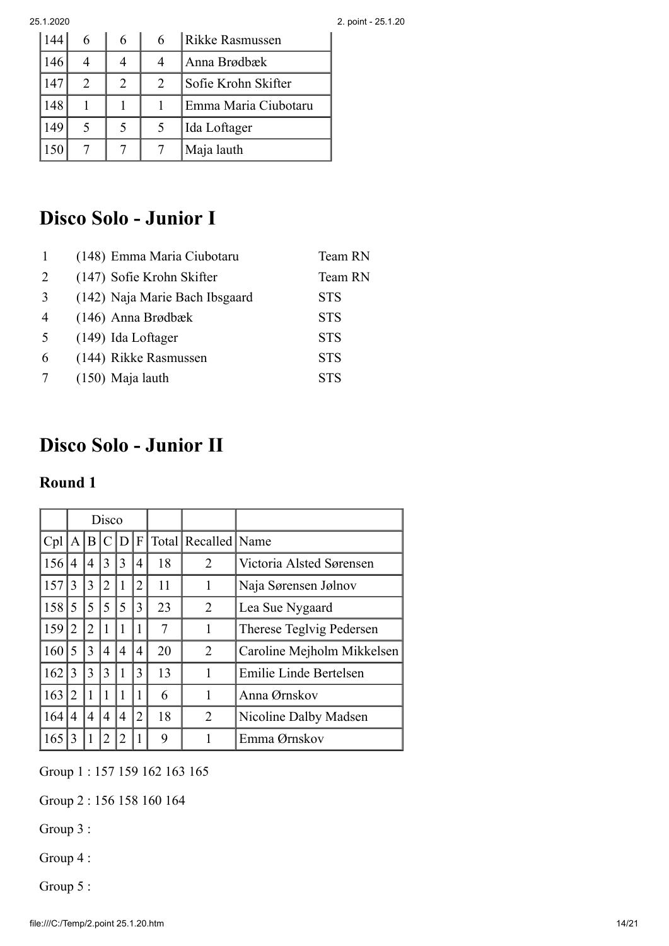|     |                             | 6 |   | Rikke Rasmussen      |
|-----|-----------------------------|---|---|----------------------|
| 146 |                             |   |   | Anna Brødbæk         |
| 147 | $\mathcal{D}_{\mathcal{L}}$ | 2 | 2 | Sofie Krohn Skifter  |
| 148 |                             |   |   | Emma Maria Ciubotaru |
| 149 | 5                           |   |   | Ida Loftager         |
| 50  |                             |   |   | Maja lauth           |

# **Disco Solo - Junior I**

|                | (148) Emma Maria Ciubotaru     | Team RN    |
|----------------|--------------------------------|------------|
| 2              | (147) Sofie Krohn Skifter      | Team RN    |
| 3              | (142) Naja Marie Bach Ibsgaard | <b>STS</b> |
| $\overline{4}$ | $(146)$ Anna Brødbæk           | <b>STS</b> |
| -5             | (149) Ida Loftager             | <b>STS</b> |
| 6              | (144) Rikke Rasmussen          | <b>STS</b> |
|                | (150) Maja lauth               | <b>STS</b> |
|                |                                |            |

# **Disco Solo - Junior II**

#### **Round 1**

|       | Disco        |                |                |     |                |    |                     |                            |
|-------|--------------|----------------|----------------|-----|----------------|----|---------------------|----------------------------|
| Cpl   | $\mathbf{A}$ | B              | C              | D F |                |    | Total Recalled Name |                            |
| 156   | 4            | $\overline{4}$ | 3              | 3   | 4              | 18 | 2                   | Victoria Alsted Sørensen   |
| 157   | 3            | 3              | $\overline{2}$ | 1   | $\overline{2}$ | 11 | 1                   | Naja Sørensen Jølnov       |
| 158 5 |              | 5              | 5              | 5   | 3              | 23 | 2                   | Lea Sue Nygaard            |
| 159   | 2            | $\overline{2}$ | 1              |     | 1              | 7  | 1                   | Therese Teglvig Pedersen   |
| 160   | 5            | 3              | 4              | 4   | 4              | 20 | $\overline{2}$      | Caroline Mejholm Mikkelsen |
| 162   | 3            | 3              | 3              |     | 3              | 13 |                     | Emilie Linde Bertelsen     |
| 163   | 2            | $\overline{1}$ |                |     | 1              | 6  |                     | Anna Ørnskov               |
| 164   | 4            | 4              | 4              | 4   | $\overline{2}$ | 18 | 2                   | Nicoline Dalby Madsen      |
| 165   | 3            |                |                |     |                | 9  |                     | Emma Ørnskov               |

Group 1 : 157 159 162 163 165

Group 2 : 156 158 160 164

Group 3 :

Group 4 :

Group 5 :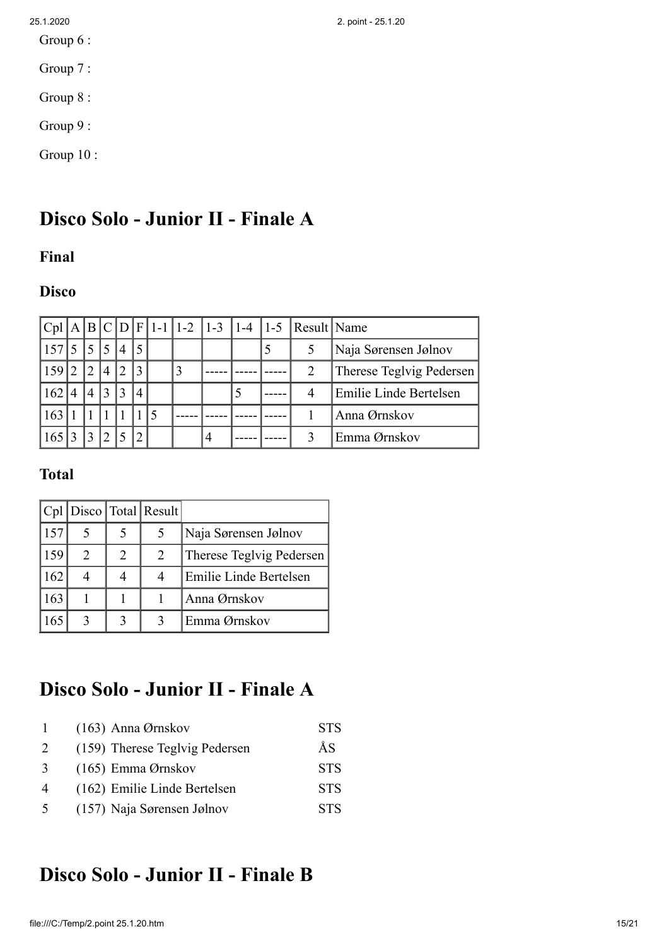- Group 6 :
- Group 7 :
- Group 8 :
- Group 9 :
- Group 10 :

# **Disco Solo - Junior II - Finale A**

#### **Final**

### **Disco**

|       |                             |                |                |                             |                |  |                |  | $ Cpl A B C D F 1-1 1-2 1-3 1-4 1-5 Result Name$ |                          |
|-------|-----------------------------|----------------|----------------|-----------------------------|----------------|--|----------------|--|--------------------------------------------------|--------------------------|
| 157   |                             | $\overline{5}$ | $\overline{5}$ | $\boldsymbol{\vartriangle}$ | 15             |  |                |  |                                                  | Naja Sørensen Jølnov     |
| 159 2 |                             | $12^{-}$       | $^{\prime}$ 4  | $\mathcal{D}$               | 3              |  |                |  |                                                  | Therese Teglvig Pedersen |
| 162   | $\boldsymbol{\vartriangle}$ | $\overline{4}$ | 3              | 3                           | $\overline{4}$ |  |                |  | 4                                                | Emilie Linde Bertelsen   |
| 163   |                             |                |                |                             |                |  |                |  |                                                  | Anna Ørnskov             |
| 165   |                             | $\overline{3}$ | 12             |                             |                |  | $\overline{4}$ |  |                                                  | Emma Ørnskov             |

#### **Total**

|      |   |   | Cpl   Disco   Total   Result |                          |
|------|---|---|------------------------------|--------------------------|
| 1157 |   |   |                              | Naja Sørensen Jølnov     |
| 159  | 2 | 2 | 2                            | Therese Teglvig Pedersen |
| 162  | 4 |   |                              | Emilie Linde Bertelsen   |
| 163  |   |   |                              | Anna Ørnskov             |
| 65   |   |   |                              | Emma Ørnskov             |

# **Disco Solo - Junior II - Finale A**

| $\mathbf{1}$   | $(163)$ Anna Ørnskov           | <b>STS</b> |
|----------------|--------------------------------|------------|
| 2              | (159) Therese Teglvig Pedersen | ÅS         |
| 3              | $(165)$ Emma Ørnskov           | <b>STS</b> |
| $\overline{4}$ | (162) Emilie Linde Bertelsen   | <b>STS</b> |
| 5              | (157) Naja Sørensen Jølnov     | <b>STS</b> |

## **Disco Solo - Junior II - Finale B**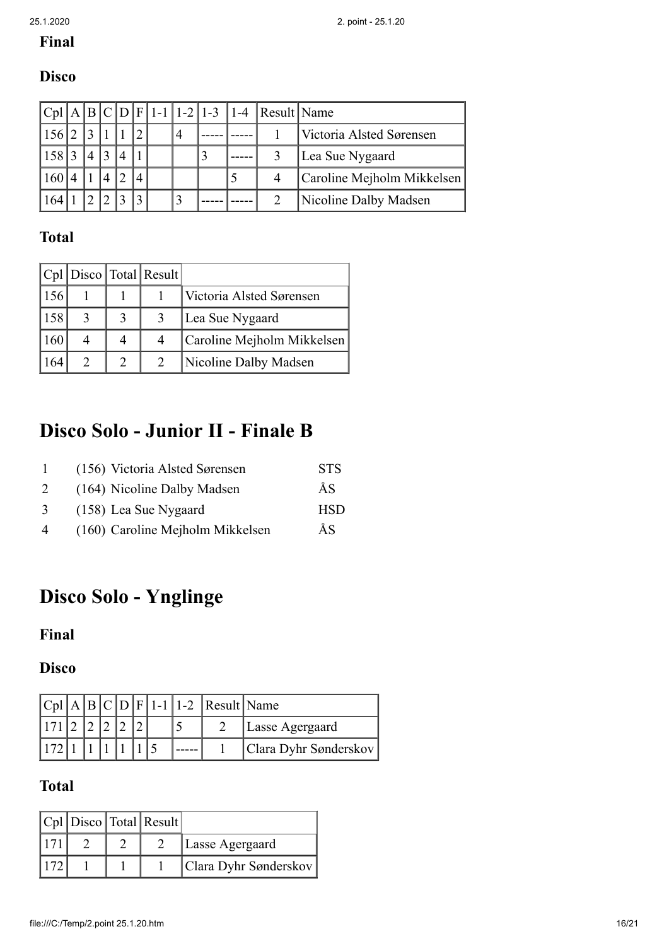# **Final**

### **Disco**

|     |              |  |  |  |  | $ Cpl A B C D F 1-1 1-2 1-3 1-4 Result Name$ |                            |
|-----|--------------|--|--|--|--|----------------------------------------------|----------------------------|
|     |              |  |  |  |  |                                              | Victoria Alsted Sørensen   |
| 158 | $\mathbf{r}$ |  |  |  |  |                                              | Lea Sue Nygaard            |
|     |              |  |  |  |  |                                              | Caroline Mejholm Mikkelsen |
|     |              |  |  |  |  |                                              | Nicoline Dalby Madsen      |

## **Total**

|     |   | $ Cpl $ Disco Total Result |                            |
|-----|---|----------------------------|----------------------------|
| 156 |   |                            | Victoria Alsted Sørensen   |
| 158 | 3 |                            | Lea Sue Nygaard            |
| 160 |   |                            | Caroline Mejholm Mikkelsen |
| 164 |   |                            | Nicoline Dalby Madsen      |

# **Disco Solo - Junior II - Finale B**

| -1             | (156) Victoria Alsted Sørensen   | <b>STS</b> |
|----------------|----------------------------------|------------|
| 2              | (164) Nicoline Dalby Madsen      | ÅS         |
| 3              | (158) Lea Sue Nygaard            | <b>HSD</b> |
| $\overline{4}$ | (160) Caroline Mejholm Mikkelsen | ÅS         |

# **Disco Solo - Ynglinge**

### **Final**

#### **Disco**

|  |  |  |  | $ Cpl A B C D F 1-1 1-2 Result Name$ |                       |
|--|--|--|--|--------------------------------------|-----------------------|
|  |  |  |  |                                      | Lasse Agergaard       |
|  |  |  |  |                                      | Clara Dyhr Sønderskov |

|  | $ Cpl $ Disco Total Result |                       |
|--|----------------------------|-----------------------|
|  |                            | Lasse Agergaard       |
|  |                            | Clara Dyhr Sønderskov |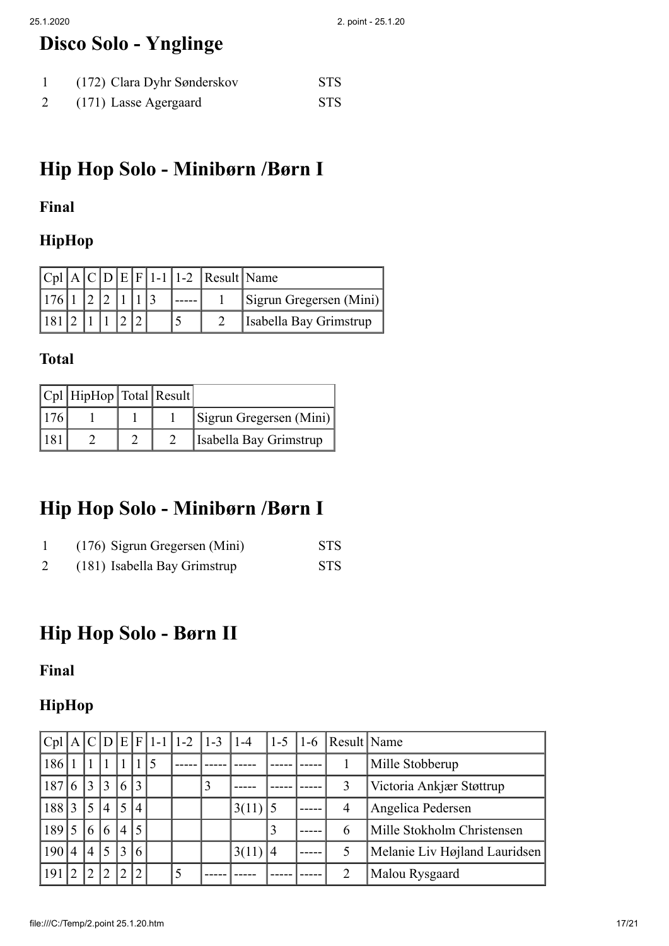# **Disco Solo - Ynglinge**

| (172) Clara Dyhr Sønderskov | <b>STS</b> |
|-----------------------------|------------|
| (171) Lasse Agergaard       | <b>STS</b> |

# **Hip Hop Solo - Minibørn /Børn I**

### **Final**

### **HipHop**

|                   |  |  |  | $ Cpl A C D E F 1-1 1-2 Result Name$ |                         |
|-------------------|--|--|--|--------------------------------------|-------------------------|
| $176$ 1 2 2 1 1 3 |  |  |  |                                      | Sigrun Gregersen (Mini) |
| 181 2 1 1 2 2     |  |  |  |                                      | Isabella Bay Grimstrup  |

#### **Total**

|      | $ Cpl $ HipHop   Total   Result |  |                         |
|------|---------------------------------|--|-------------------------|
| 176  |                                 |  | Sigrun Gregersen (Mini) |
| 1181 |                                 |  | Isabella Bay Grimstrup  |

## **Hip Hop Solo - Minibørn /Børn I**

|   | (176) Sigrun Gregersen (Mini) | <b>STS</b> |
|---|-------------------------------|------------|
| 2 | (181) Isabella Bay Grimstrup  | <b>STS</b> |

## **Hip Hop Solo - Børn II**

#### **Final**

### **HipHop**

| $ Cpl A C D E F 1-1 1-2$ |                |                |                |                |                 |     |   | $ 1-3 $ | $ 1-4$ | $1 - 5$ | $1-6$ | Result Name    |                               |
|--------------------------|----------------|----------------|----------------|----------------|-----------------|-----|---|---------|--------|---------|-------|----------------|-------------------------------|
| 186                      |                |                |                |                |                 | 115 |   |         |        |         |       |                | Mille Stobberup               |
| 187                      | 6              | 3              | 3              | 6              | 3               |     |   |         |        |         |       | 3              | Victoria Ankjær Støttrup      |
| 188                      | 3              |                | $\overline{4}$ | 5              | $\overline{4}$  |     |   |         | 3(11)  |         |       | $\overline{4}$ | Angelica Pedersen             |
| 189                      | 5              | 6              | 6              | $\overline{4}$ | $\overline{.5}$ |     |   |         |        | 3       |       | 6              | Mille Stokholm Christensen    |
| 190                      | $\overline{4}$ | $\overline{4}$ | 5              |                | 6               |     |   |         | 3(11)  | 14      |       |                | Melanie Liv Højland Lauridsen |
| 191                      | $\mathcal{D}$  | $\mathcal{D}$  | $\overline{2}$ | ∍              | $\overline{2}$  |     | 5 |         |        |         |       | າ              | Malou Rysgaard                |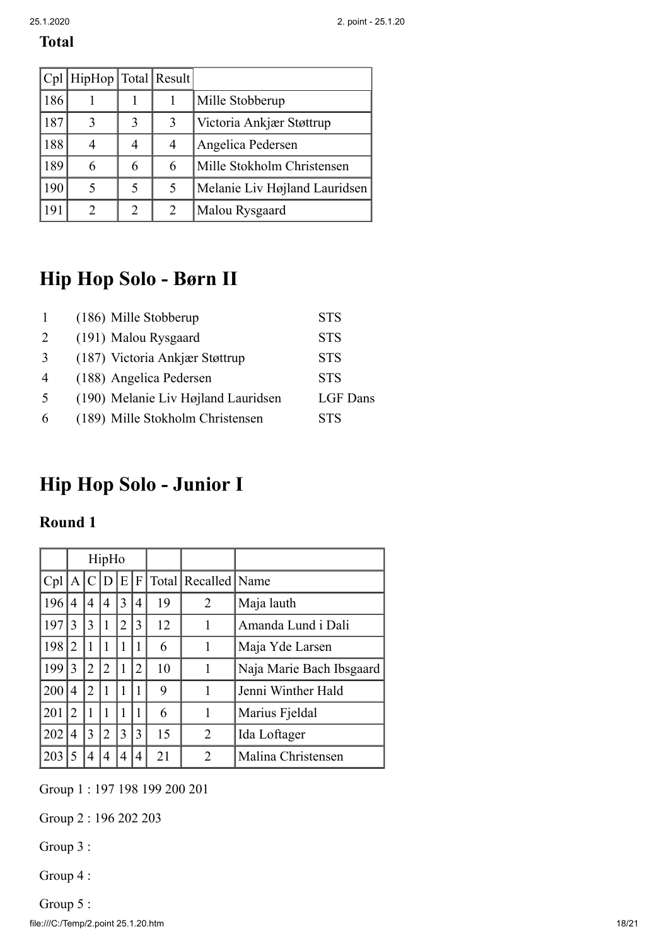|     | Cpl   HipHop   Total   Result |   |   |                               |
|-----|-------------------------------|---|---|-------------------------------|
| 186 |                               |   |   | Mille Stobberup               |
| 187 |                               | 3 | 3 | Victoria Ankjær Støttrup      |
| 188 |                               | 4 | 4 | Angelica Pedersen             |
| 189 | 6                             | 6 | 6 | Mille Stokholm Christensen    |
| 190 |                               |   | 5 | Melanie Liv Højland Lauridsen |
| 191 | $\mathcal{D}_{\cdot}$         |   | 2 | Malou Rysgaard                |

# **Hip Hop Solo - Børn II**

| $\mathbf{1}$   | (186) Mille Stobberup               | <b>STS</b> |
|----------------|-------------------------------------|------------|
| $\mathcal{L}$  | (191) Malou Rysgaard                | <b>STS</b> |
| $\mathcal{R}$  | (187) Victoria Ankjær Støttrup      | <b>STS</b> |
| $\overline{4}$ | (188) Angelica Pedersen             | <b>STS</b> |
| $\sim$         | (190) Melanie Liv Højland Lauridsen | LGF Dans   |
| 6              | (189) Mille Stokholm Christensen    | STS        |

# **Hip Hop Solo - Junior I**

#### **Round 1**

|     | HipHo          |               |              |   |                |    |                         |                          |
|-----|----------------|---------------|--------------|---|----------------|----|-------------------------|--------------------------|
| Cpl | A              | $\mathcal{C}$ | Ð            | E | F              |    | Total   Recalled   Name |                          |
| 196 | 4              | 4             | 4            | 3 | 4              | 19 | 2                       | Maja lauth               |
| 197 | 3              | 3             |              | 2 | 3              | 12 | 1                       | Amanda Lund i Dali       |
| 198 | 2              | 1             | $\mathbf{1}$ | 1 | 1              | 6  | 1                       | Maja Yde Larsen          |
| 199 | 3              | 2             | 2            | 1 | $\overline{2}$ | 10 | 1                       | Naja Marie Bach Ibsgaard |
| 200 | 4              | 2             |              | 1 | 1              | 9  | 1                       | Jenni Winther Hald       |
| 201 | $\overline{2}$ | 1             | 1            | 1 |                | 6  | 1                       | Marius Fjeldal           |
| 202 | 4              | 3             | 2            | 3 | 3              | 15 | $\overline{2}$          | Ida Loftager             |
| 203 |                |               |              | 4 | 4              | 21 | 2                       | Malina Christensen       |

Group 1 : 197 198 199 200 201

Group 2 : 196 202 203

Group 3 :

Group 4 :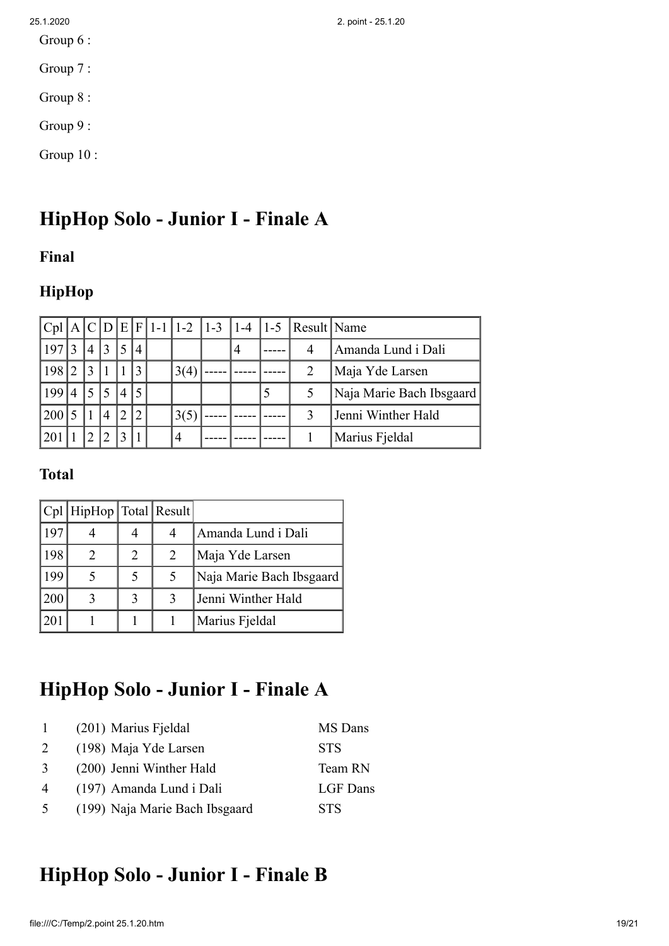- Group 6 :
- Group 7 :
- Group 8 :
- Group 9 :
- Group 10 :

# **HipHop Solo - Junior I - Finale A**

#### **Final**

### **HipHop**

|       |               |                |                |                |                 |      |                | $ Cpl A C D E F 1-1 1-2 1-3 1-4 1-5 Result Name$ |                          |
|-------|---------------|----------------|----------------|----------------|-----------------|------|----------------|--------------------------------------------------|--------------------------|
| 197 3 |               | $\overline{4}$ | $\overline{3}$ | 5              | $\vert 4 \vert$ |      | $\overline{4}$ | 4                                                | Amanda Lund i Dali       |
| 198 2 |               | 13             |                |                |                 | 3(4) |                | 2                                                | Maja Yde Larsen          |
| 199   | $^{\prime}$ 4 | 15             | 5              | $\vert 4$      | 15              |      |                |                                                  | Naja Marie Bach Ibsgaard |
| 200   |               |                | $\overline{4}$ | $\overline{2}$ |                 | 3(5) |                |                                                  | Jenni Winther Hald       |
| 201   |               |                | $\mathcal{L}$  | $\mathbf{c}$   |                 | 4    |                |                                                  | Marius Fjeldal           |

#### **Total**

|     | Cpl   HipHop   Total   Result |   |   |                          |
|-----|-------------------------------|---|---|--------------------------|
| 197 |                               |   | 4 | Amanda Lund i Dali       |
| 198 |                               | 2 | 2 | Maja Yde Larsen          |
| 199 |                               |   | 5 | Naja Marie Bach Ibsgaard |
| 200 |                               |   | 3 | Jenni Winther Hald       |
| 201 |                               |   |   | Marius Fjeldal           |

# **HipHop Solo - Junior I - Finale A**

| $\overline{1}$ | (201) Marius Fjeldal           | MS Dans    |
|----------------|--------------------------------|------------|
| 2              | (198) Maja Yde Larsen          | <b>STS</b> |
| 3              | (200) Jenni Winther Hald       | Team RN    |
| $\overline{4}$ | (197) Amanda Lund i Dali       | LGF Dans   |
| $\overline{5}$ | (199) Naja Marie Bach Ibsgaard | <b>STS</b> |

## **HipHop Solo - Junior I - Finale B**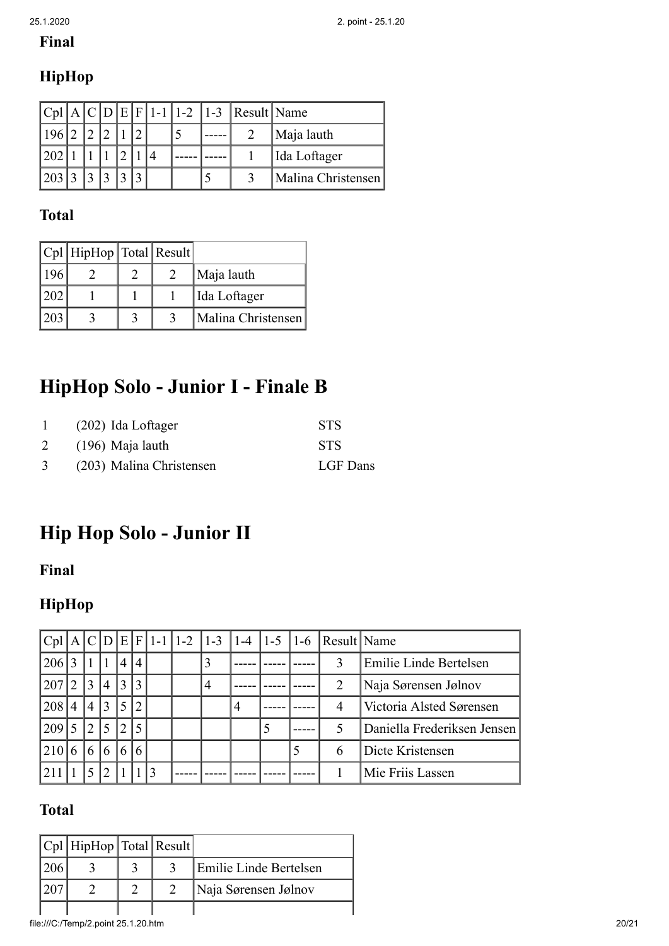## **Final**

## **HipHop**

|           |  |  |  |  | $ Cpl A C D E F 1-1 1-2 1-3 Result Name$ |                    |
|-----------|--|--|--|--|------------------------------------------|--------------------|
| 196 2 2 2 |  |  |  |  |                                          | Maja lauth         |
| 202 1     |  |  |  |  |                                          | Ida Loftager       |
| 203 3     |  |  |  |  |                                          | Malina Christensen |

### **Total**

|     | $ Cpl $ HipHop   Total   Result |  |                    |
|-----|---------------------------------|--|--------------------|
| 196 |                                 |  | Maja lauth         |
| 202 |                                 |  | Ida Loftager       |
| 203 |                                 |  | Malina Christensen |

# **HipHop Solo - Junior I - Finale B**

| 1              | $(202)$ Ida Loftager     | <b>STS</b> |
|----------------|--------------------------|------------|
| 2              | $(196)$ Maja lauth       | <b>STS</b> |
| 3 <sup>7</sup> | (203) Malina Christensen | LGF Dans   |

# **Hip Hop Solo - Junior II**

### **Final**

## **HipHop**

|     |                          |                          |                |                |                |  |   |   |  | $ Cpl A C D E F 1-1 1-2 1-3 1-4 1-5 1-6 Result Name$ |                             |
|-----|--------------------------|--------------------------|----------------|----------------|----------------|--|---|---|--|------------------------------------------------------|-----------------------------|
| 206 | $\mathcal{R}$            |                          |                | 4 4            |                |  |   |   |  | 3                                                    | Emilie Linde Bertelsen      |
| 207 | $\mathcal{L}$            | $\vert 3 \vert$          | $\overline{4}$ | $ 3\rangle$    | 3              |  | 4 |   |  | $\overline{2}$                                       | Naja Sørensen Jølnov        |
| 208 | $\overline{4}$           | 4 3                      |                | , 15"          |                |  |   | 4 |  | 4                                                    | Victoria Alsted Sørensen    |
| 209 | $\overline{\mathcal{L}}$ | $\overline{2}$           | $\overline{5}$ | 2 <sup>1</sup> | $\overline{5}$ |  |   |   |  |                                                      | Daniella Frederiksen Jensen |
| 210 | 6                        | 6                        | 6              | 6              |                |  |   |   |  | 6                                                    | Dicte Kristensen            |
|     |                          | $\overline{\mathcal{L}}$ | $\mathcal{D}$  |                |                |  |   |   |  |                                                      | Mie Friis Lassen            |

| $ Cpl $ HipHop Total Result |  |  |                        |  |
|-----------------------------|--|--|------------------------|--|
|                             |  |  | Emilie Linde Bertelsen |  |
|                             |  |  | Naja Sørensen Jølnov   |  |
|                             |  |  |                        |  |